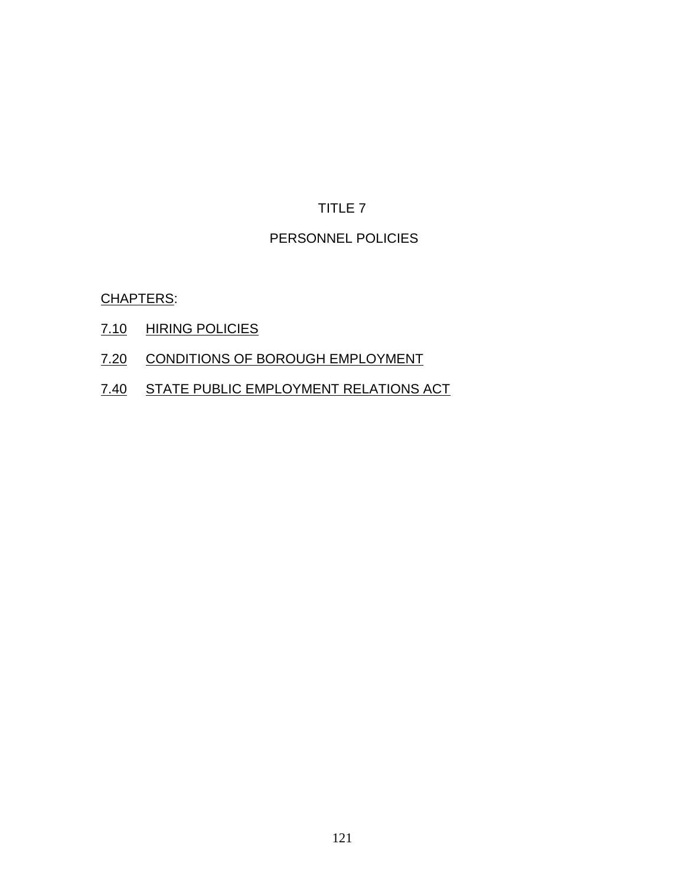# PERSONNEL POLICIES

CHAPTERS:

- 7.10 HIRING POLICIES
- 7.20 CONDITIONS OF BOROUGH EMPLOYMENT
- 7.40 STATE PUBLIC EMPLOYMENT RELATIONS ACT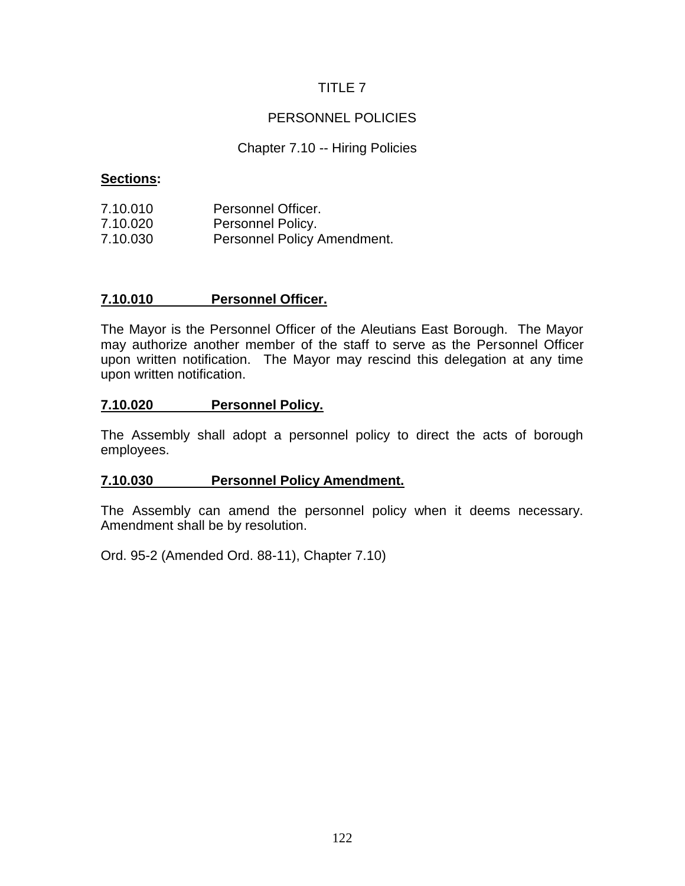# PERSONNEL POLICIES

# Chapter 7.10 -- Hiring Policies

# **Sections:**

| 7.10.010 | Personnel Officer.          |
|----------|-----------------------------|
| 7.10.020 | Personnel Policy.           |
| 7.10.030 | Personnel Policy Amendment. |

# **7.10.010 Personnel Officer.**

The Mayor is the Personnel Officer of the Aleutians East Borough. The Mayor may authorize another member of the staff to serve as the Personnel Officer upon written notification. The Mayor may rescind this delegation at any time upon written notification.

### **7.10.020 Personnel Policy.**

The Assembly shall adopt a personnel policy to direct the acts of borough employees.

#### **7.10.030 Personnel Policy Amendment.**

The Assembly can amend the personnel policy when it deems necessary. Amendment shall be by resolution.

Ord. 95-2 (Amended Ord. 88-11), Chapter 7.10)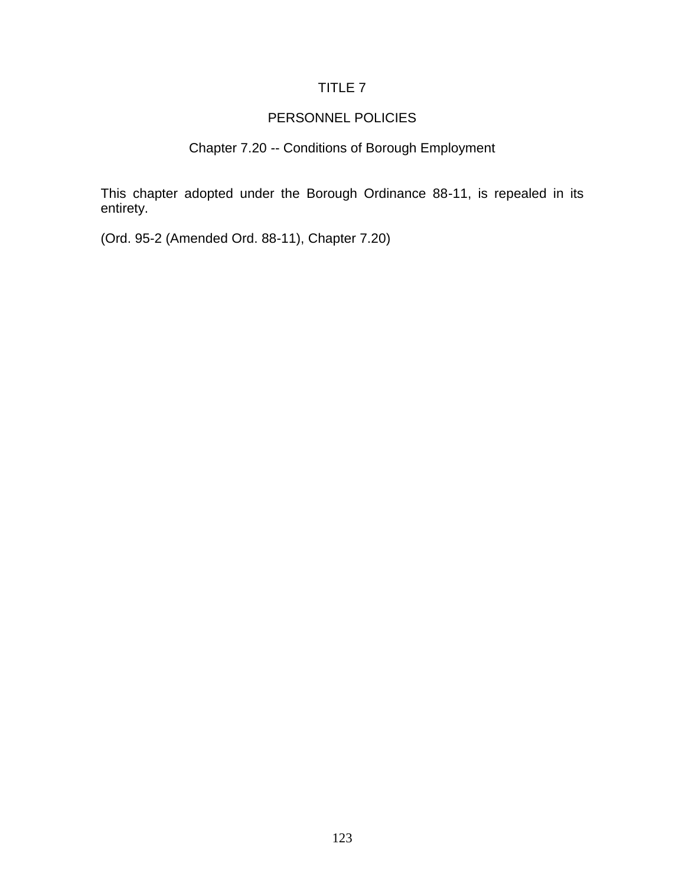### PERSONNEL POLICIES

### Chapter 7.20 -- Conditions of Borough Employment

This chapter adopted under the Borough Ordinance 88-11, is repealed in its entirety.

(Ord. 95-2 (Amended Ord. 88-11), Chapter 7.20)